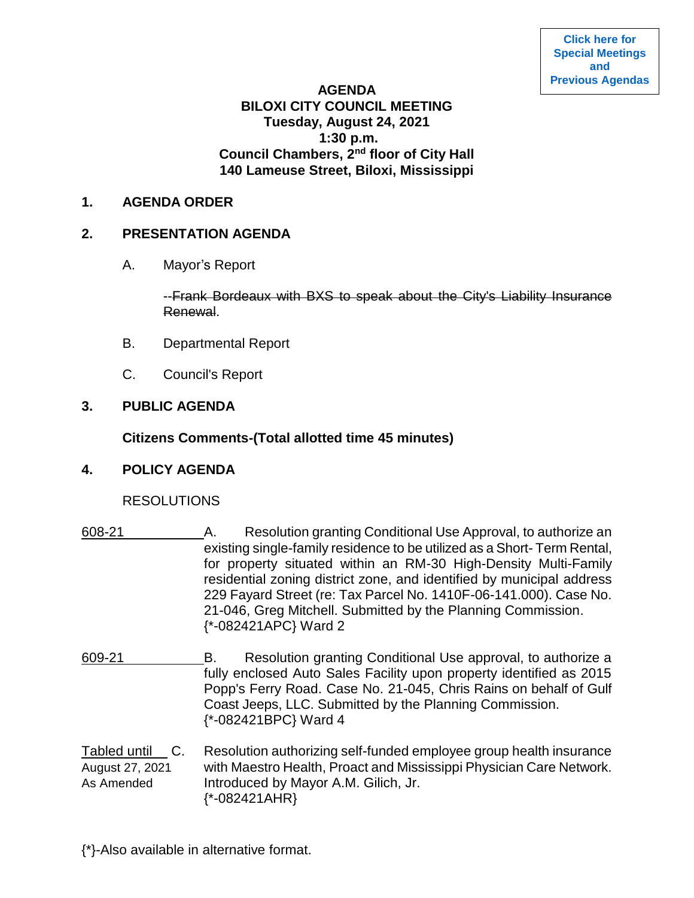## **AGENDA BILOXI CITY COUNCIL MEETING Tuesday, August 24, 2021 1:30 p.m. Council Chambers, 2nd floor of City Hall 140 Lameuse Street, Biloxi, Mississippi**

#### **1. AGENDA ORDER**

### **2. PRESENTATION AGENDA**

A. Mayor's Report

--Frank Bordeaux with BXS to speak about the City's Liability Insurance Renewal.

- B. Departmental Report
- C. Council's Report

# **3. PUBLIC AGENDA**

# **Citizens Comments-(Total allotted time 45 minutes)**

### **4. POLICY AGENDA**

### RESOLUTIONS

- 608-21 A. Resolution granting Conditional Use Approval, to authorize an existing single-family residence to be utilized as a Short- Term Rental, for property situated within an RM-30 High-Density Multi-Family residential zoning district zone, and identified by municipal address 229 Fayard Street (re: Tax Parcel No. 1410F-06-141.000). Case No. 21-046, Greg Mitchell. Submitted by the Planning Commission. {\*-082421APC} Ward 2
- 609-21 B. Resolution granting Conditional Use approval, to authorize a fully enclosed Auto Sales Facility upon property identified as 2015 Popp's Ferry Road. Case No. 21-045, Chris Rains on behalf of Gulf Coast Jeeps, LLC. Submitted by the Planning Commission. {\*-082421BPC} Ward 4
- Tabled until C. Resolution authorizing self-funded employee group health insurance August 27, 2021 with Maestro Health, Proact and Mississippi Physician Care Network. As Amended Introduced by Mayor A.M. Gilich, Jr. {\*-082421AHR}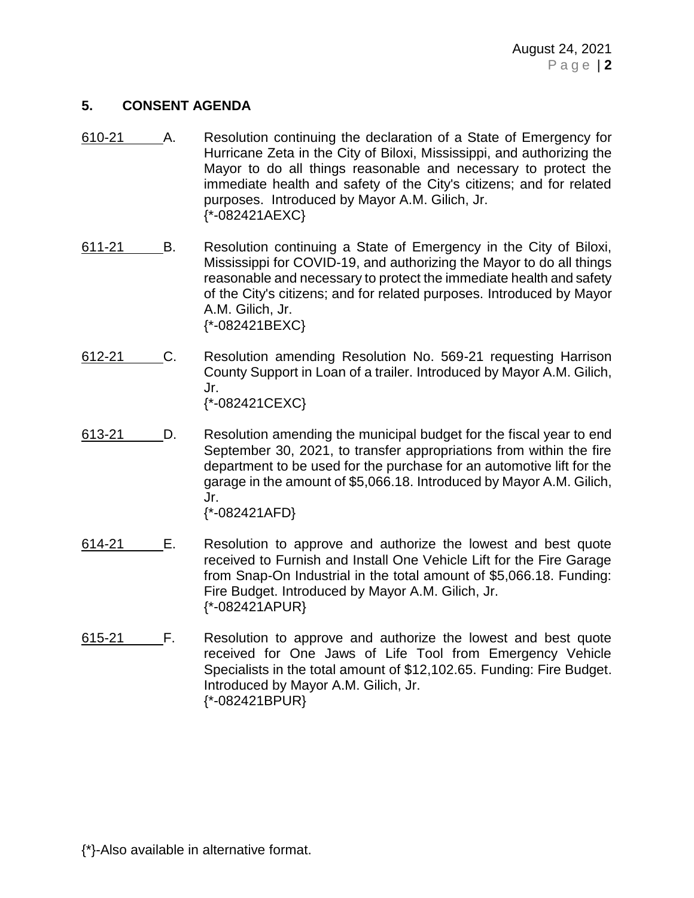## **5. CONSENT AGENDA**

- 610-21 A. Resolution continuing the declaration of a State of Emergency for Hurricane Zeta in the City of Biloxi, Mississippi, and authorizing the Mayor to do all things reasonable and necessary to protect the immediate health and safety of the City's citizens; and for related purposes. Introduced by Mayor A.M. Gilich, Jr. {\*-082421AEXC}
- 611-21 B. Resolution continuing a State of Emergency in the City of Biloxi, Mississippi for COVID-19, and authorizing the Mayor to do all things reasonable and necessary to protect the immediate health and safety of the City's citizens; and for related purposes. Introduced by Mayor A.M. Gilich, Jr. {\*-082421BEXC}
- 612-21 C. Resolution amending Resolution No. 569-21 requesting Harrison County Support in Loan of a trailer. Introduced by Mayor A.M. Gilich, Jr. {\*-082421CEXC}
- 613-21 D. Resolution amending the municipal budget for the fiscal year to end September 30, 2021, to transfer appropriations from within the fire department to be used for the purchase for an automotive lift for the garage in the amount of \$5,066.18. Introduced by Mayor A.M. Gilich, Jr. {\*-082421AFD}

614-21 E. Resolution to approve and authorize the lowest and best quote received to Furnish and Install One Vehicle Lift for the Fire Garage from Snap-On Industrial in the total amount of \$5,066.18. Funding: Fire Budget. Introduced by Mayor A.M. Gilich, Jr.

{\*-082421APUR}

615-21 F. Resolution to approve and authorize the lowest and best quote received for One Jaws of Life Tool from Emergency Vehicle Specialists in the total amount of \$12,102.65. Funding: Fire Budget. Introduced by Mayor A.M. Gilich, Jr. {\*-082421BPUR}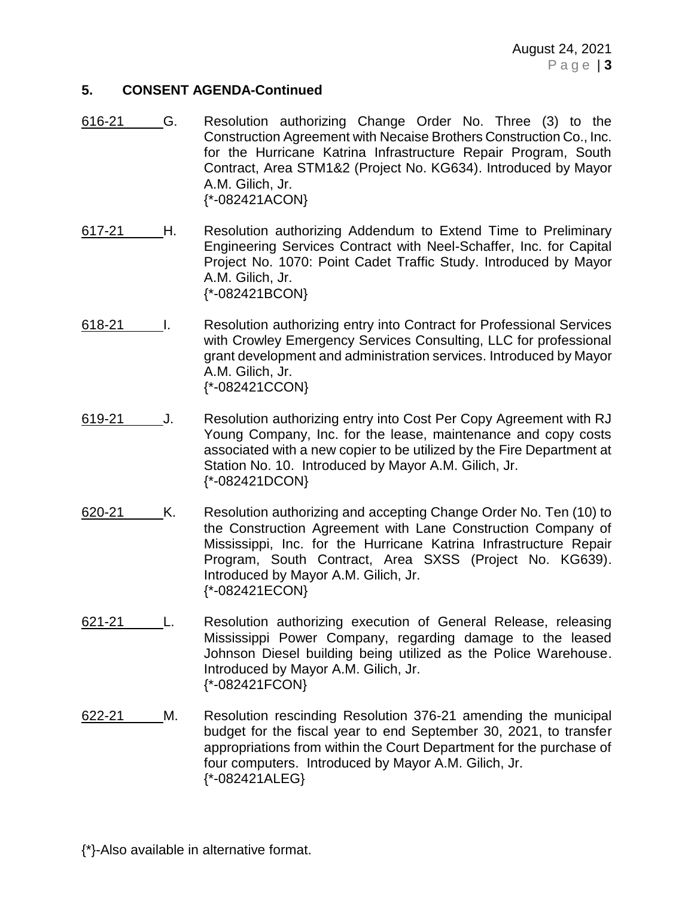August 24, 2021 P a g e | **3**

#### **5. CONSENT AGENDA-Continued**

- 616-21 G. Resolution authorizing Change Order No. Three (3) to the Construction Agreement with Necaise Brothers Construction Co., Inc. for the Hurricane Katrina Infrastructure Repair Program, South Contract, Area STM1&2 (Project No. KG634). Introduced by Mayor A.M. Gilich, Jr. {\*-082421ACON}
- 617-21 H. Resolution authorizing Addendum to Extend Time to Preliminary Engineering Services Contract with Neel-Schaffer, Inc. for Capital Project No. 1070: Point Cadet Traffic Study. Introduced by Mayor A.M. Gilich, Jr. {\*-082421BCON}
- 618-21 I. Resolution authorizing entry into Contract for Professional Services with Crowley Emergency Services Consulting, LLC for professional grant development and administration services. Introduced by Mayor A.M. Gilich, Jr. {\*-082421CCON}
- 619-21 J. Resolution authorizing entry into Cost Per Copy Agreement with RJ Young Company, Inc. for the lease, maintenance and copy costs associated with a new copier to be utilized by the Fire Department at Station No. 10. Introduced by Mayor A.M. Gilich, Jr. {\*-082421DCON}
- 620-21 K. Resolution authorizing and accepting Change Order No. Ten (10) to the Construction Agreement with Lane Construction Company of Mississippi, Inc. for the Hurricane Katrina Infrastructure Repair Program, South Contract, Area SXSS (Project No. KG639). Introduced by Mayor A.M. Gilich, Jr. {\*-082421ECON}
- 621-21 L. Resolution authorizing execution of General Release, releasing Mississippi Power Company, regarding damage to the leased Johnson Diesel building being utilized as the Police Warehouse. Introduced by Mayor A.M. Gilich, Jr. {\*-082421FCON}
- 622-21 M. Resolution rescinding Resolution 376-21 amending the municipal budget for the fiscal year to end September 30, 2021, to transfer appropriations from within the Court Department for the purchase of four computers. Introduced by Mayor A.M. Gilich, Jr. {\*-082421ALEG}